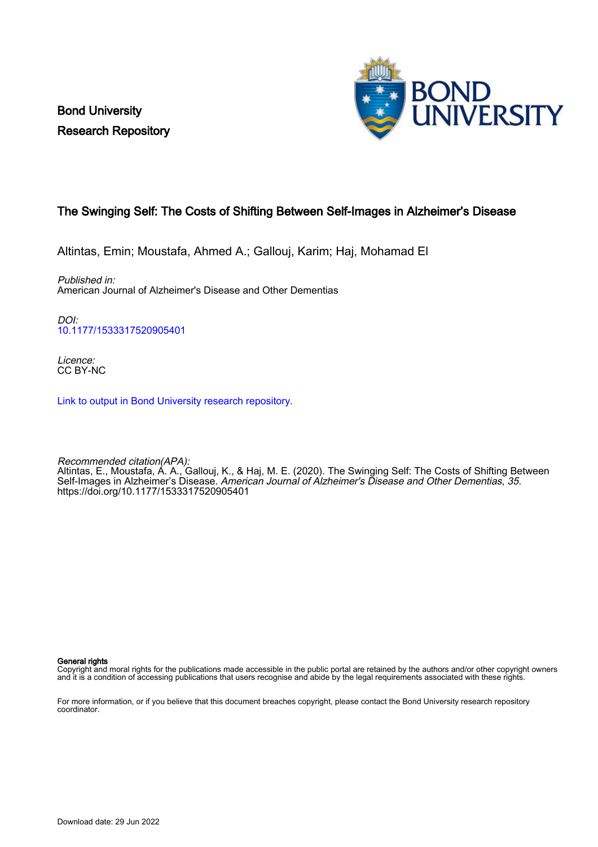Bond University Research Repository



## The Swinging Self: The Costs of Shifting Between Self-Images in Alzheimer's Disease

Altintas, Emin; Moustafa, Ahmed A.; Gallouj, Karim; Haj, Mohamad El

Published in: American Journal of Alzheimer's Disease and Other Dementias

DOI: [10.1177/1533317520905401](https://doi.org/10.1177/1533317520905401)

Licence: CC BY-NC

[Link to output in Bond University research repository.](https://research.bond.edu.au/en/publications/f5acd0a4-2f6f-4fa7-a67e-331b8eb4c5d2)

Recommended citation(APA): Altintas, E., Moustafa, A. A., Gallouj, K., & Haj, M. E. (2020). The Swinging Self: The Costs of Shifting Between Self-Images in Alzheimer's Disease. American Journal of Alzheimer's Disease and Other Dementias, 35. <https://doi.org/10.1177/1533317520905401>

General rights

Copyright and moral rights for the publications made accessible in the public portal are retained by the authors and/or other copyright owners and it is a condition of accessing publications that users recognise and abide by the legal requirements associated with these rights.

For more information, or if you believe that this document breaches copyright, please contact the Bond University research repository coordinator.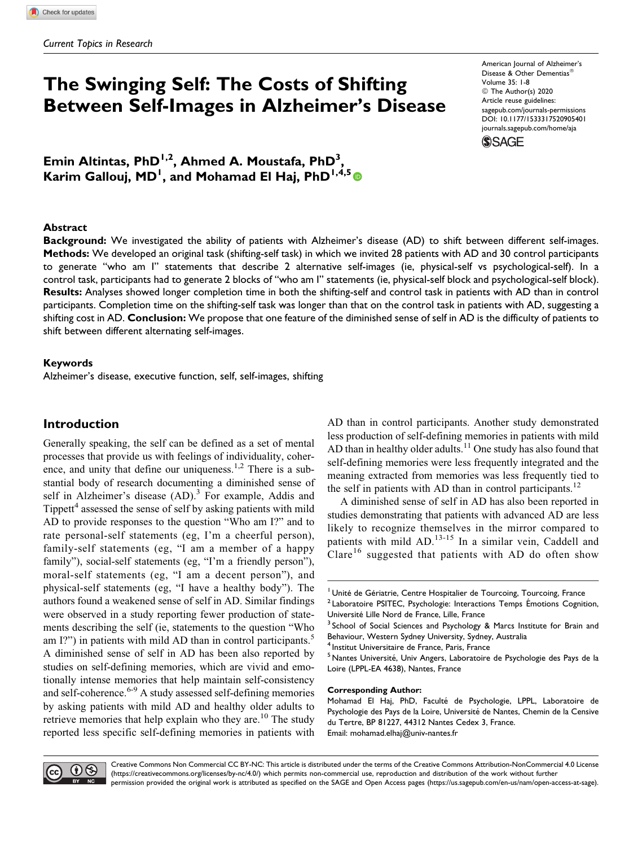# The Swinging Self: The Costs of Shifting Between Self-Images in Alzheimer's Disease

Emin Altintas, PhD<sup>1,2</sup>, Ahmed A. Moustafa, PhD<sup>3</sup>, Karim Gallouj, MD<sup>I</sup>, and Mohamad El Haj, PhD<sup>I,4,5</sup> American Journal of Alzheimer's Disease & Other Dementias Volume 35: 1-8 © The Author(s) 2020 Article reuse guidelines: [sagepub.com/journals-permissions](https://sagepub.com/journals-permissions) [DOI: 10.1177/1533317520905401](https://doi.org/10.1177/1533317520905401) [journals.sagepub.com/home/aja](http://journals.sagepub.com/home/aja) **SSAGE** 

#### Abstract

Background: We investigated the ability of patients with Alzheimer's disease (AD) to shift between different self-images. Methods: We developed an original task (shifting-self task) in which we invited 28 patients with AD and 30 control participants to generate "who am I" statements that describe 2 alternative self-images (ie, physical-self vs psychological-self). In a control task, participants had to generate 2 blocks of "who am I" statements (ie, physical-self block and psychological-self block). Results: Analyses showed longer completion time in both the shifting-self and control task in patients with AD than in control participants. Completion time on the shifting-self task was longer than that on the control task in patients with AD, suggesting a shifting cost in AD. Conclusion: We propose that one feature of the diminished sense of self in AD is the difficulty of patients to shift between different alternating self-images.

#### Keywords

Alzheimer's disease, executive function, self, self-images, shifting

## Introduction

Generally speaking, the self can be defined as a set of mental processes that provide us with feelings of individuality, coherence, and unity that define our uniqueness.<sup>1,2</sup> There is a substantial body of research documenting a diminished sense of self in Alzheimer's disease  $(AD)$ .<sup>3</sup> For example, Addis and Tippett<sup>4</sup> assessed the sense of self by asking patients with mild AD to provide responses to the question "Who am I?" and to rate personal-self statements (eg, I'm a cheerful person), family-self statements (eg, "I am a member of a happy family"), social-self statements (eg, "I'm a friendly person"), moral-self statements (eg, "I am a decent person"), and physical-self statements (eg, "I have a healthy body"). The authors found a weakened sense of self in AD. Similar findings were observed in a study reporting fewer production of statements describing the self (ie, statements to the question "Who am I?") in patients with mild AD than in control participants.<sup>5</sup> A diminished sense of self in AD has been also reported by studies on self-defining memories, which are vivid and emotionally intense memories that help maintain self-consistency and self-coherence.<sup>6-9</sup> A study assessed self-defining memories by asking patients with mild AD and healthy older adults to retrieve memories that help explain who they are.<sup>10</sup> The study reported less specific self-defining memories in patients with AD than in control participants. Another study demonstrated less production of self-defining memories in patients with mild AD than in healthy older adults.<sup>11</sup> One study has also found that self-defining memories were less frequently integrated and the meaning extracted from memories was less frequently tied to the self in patients with AD than in control participants.<sup>12</sup>

A diminished sense of self in AD has also been reported in studies demonstrating that patients with advanced AD are less likely to recognize themselves in the mirror compared to patients with mild AD.<sup>13-15</sup> In a similar vein, Caddell and Clare<sup>16</sup> suggested that patients with AD do often show

<sup>4</sup> Institut Universitaire de France, Paris, France

 $<sup>5</sup>$  Nantes Université, Univ Angers, Laboratoire de Psychologie des Pays de la</sup> Loire (LPPL-EA 4638), Nantes, France

#### Corresponding Author:

Mohamad El Haj, PhD, Faculté de Psychologie, LPPL, Laboratoire de Psychologie des Pays de la Loire, Université de Nantes, Chemin de la Censive du Tertre, BP 81227, 44312 Nantes Cedex 3, France. Email: [mohamad.elhaj@univ-nantes.fr](mailto:mohamad.elhaj@univ-nantes.fr)



Creative Commons Non Commercial CC BY-NC: This article is distributed under the terms of the Creative Commons Attribution-NonCommercial 4.0 License (<https://creativecommons.org/licenses/by-nc/4.0/>) which permits non-commercial use, reproduction and distribution of the work without further permission provided the original work is attributed as specified on the SAGE and Open Access pages (https://us.sagepub.com/en-us/nam/open-access-at-sage).

 $<sup>1</sup>$  Unité de Gériatrie, Centre Hospitalier de Tourcoing, Tourcoing, France</sup>

 $2$  Laboratoire PSITEC, Psychologie: Interactions Temps Émotions Cognition, Université Lille Nord de France, Lille, France<br><sup>3</sup> School of Social Sciences and Psychology & Marcs Institute for Brain and

Behaviour, Western Sydney University, Sydney, Australia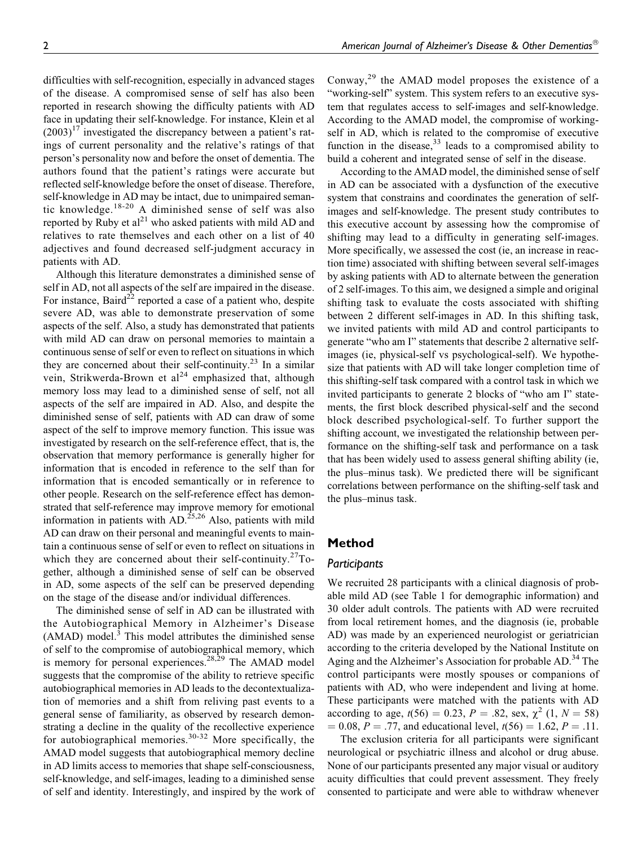difficulties with self-recognition, especially in advanced stages of the disease. A compromised sense of self has also been reported in research showing the difficulty patients with AD face in updating their self-knowledge. For instance, Klein et al  $(2003)^{17}$  investigated the discrepancy between a patient's ratings of current personality and the relative's ratings of that person's personality now and before the onset of dementia. The authors found that the patient's ratings were accurate but reflected self-knowledge before the onset of disease. Therefore, self-knowledge in AD may be intact, due to unimpaired semantic knowledge.18-20 A diminished sense of self was also reported by Ruby et  $al^{21}$  who asked patients with mild AD and relatives to rate themselves and each other on a list of 40 adjectives and found decreased self-judgment accuracy in patients with AD.

Although this literature demonstrates a diminished sense of self in AD, not all aspects of the self are impaired in the disease. For instance, Baird<sup>22</sup> reported a case of a patient who, despite severe AD, was able to demonstrate preservation of some aspects of the self. Also, a study has demonstrated that patients with mild AD can draw on personal memories to maintain a continuous sense of self or even to reflect on situations in which they are concerned about their self-continuity.<sup>23</sup> In a similar vein, Strikwerda-Brown et al<sup>24</sup> emphasized that, although memory loss may lead to a diminished sense of self, not all aspects of the self are impaired in AD. Also, and despite the diminished sense of self, patients with AD can draw of some aspect of the self to improve memory function. This issue was investigated by research on the self-reference effect, that is, the observation that memory performance is generally higher for information that is encoded in reference to the self than for information that is encoded semantically or in reference to other people. Research on the self-reference effect has demonstrated that self-reference may improve memory for emotional information in patients with  $AD$ <sup>25,26</sup> Also, patients with mild AD can draw on their personal and meaningful events to maintain a continuous sense of self or even to reflect on situations in which they are concerned about their self-continuity.<sup>27</sup>Together, although a diminished sense of self can be observed in AD, some aspects of the self can be preserved depending on the stage of the disease and/or individual differences.

The diminished sense of self in AD can be illustrated with the Autobiographical Memory in Alzheimer's Disease  $(AMAD)$  model.<sup>3</sup> This model attributes the diminished sense of self to the compromise of autobiographical memory, which is memory for personal experiences.<sup>28,29</sup> The AMAD model suggests that the compromise of the ability to retrieve specific autobiographical memories in AD leads to the decontextualization of memories and a shift from reliving past events to a general sense of familiarity, as observed by research demonstrating a decline in the quality of the recollective experience for autobiographical memories.<sup>30-32</sup> More specifically, the AMAD model suggests that autobiographical memory decline in AD limits access to memories that shape self-consciousness, self-knowledge, and self-images, leading to a diminished sense of self and identity. Interestingly, and inspired by the work of Conway,<sup>29</sup> the AMAD model proposes the existence of a "working-self" system. This system refers to an executive system that regulates access to self-images and self-knowledge. According to the AMAD model, the compromise of workingself in AD, which is related to the compromise of executive function in the disease,  $33$  leads to a compromised ability to build a coherent and integrated sense of self in the disease.

According to the AMAD model, the diminished sense of self in AD can be associated with a dysfunction of the executive system that constrains and coordinates the generation of selfimages and self-knowledge. The present study contributes to this executive account by assessing how the compromise of shifting may lead to a difficulty in generating self-images. More specifically, we assessed the cost (ie, an increase in reaction time) associated with shifting between several self-images by asking patients with AD to alternate between the generation of 2 self-images. To this aim, we designed a simple and original shifting task to evaluate the costs associated with shifting between 2 different self-images in AD. In this shifting task, we invited patients with mild AD and control participants to generate "who am I" statements that describe 2 alternative selfimages (ie, physical-self vs psychological-self). We hypothesize that patients with AD will take longer completion time of this shifting-self task compared with a control task in which we invited participants to generate 2 blocks of "who am I" statements, the first block described physical-self and the second block described psychological-self. To further support the shifting account, we investigated the relationship between performance on the shifting-self task and performance on a task that has been widely used to assess general shifting ability (ie, the plus–minus task). We predicted there will be significant correlations between performance on the shifting-self task and the plus–minus task.

#### Method

#### Participants

We recruited 28 participants with a clinical diagnosis of probable mild AD (see Table 1 for demographic information) and 30 older adult controls. The patients with AD were recruited from local retirement homes, and the diagnosis (ie, probable AD) was made by an experienced neurologist or geriatrician according to the criteria developed by the National Institute on Aging and the Alzheimer's Association for probable AD.<sup>34</sup> The control participants were mostly spouses or companions of patients with AD, who were independent and living at home. These participants were matched with the patients with AD according to age,  $t(56) = 0.23$ ,  $P = .82$ , sex,  $\chi^2$  (1,  $N = 58$ )  $= 0.08, P = .77,$  and educational level,  $t(56) = 1.62, P = .11$ .

The exclusion criteria for all participants were significant neurological or psychiatric illness and alcohol or drug abuse. None of our participants presented any major visual or auditory acuity difficulties that could prevent assessment. They freely consented to participate and were able to withdraw whenever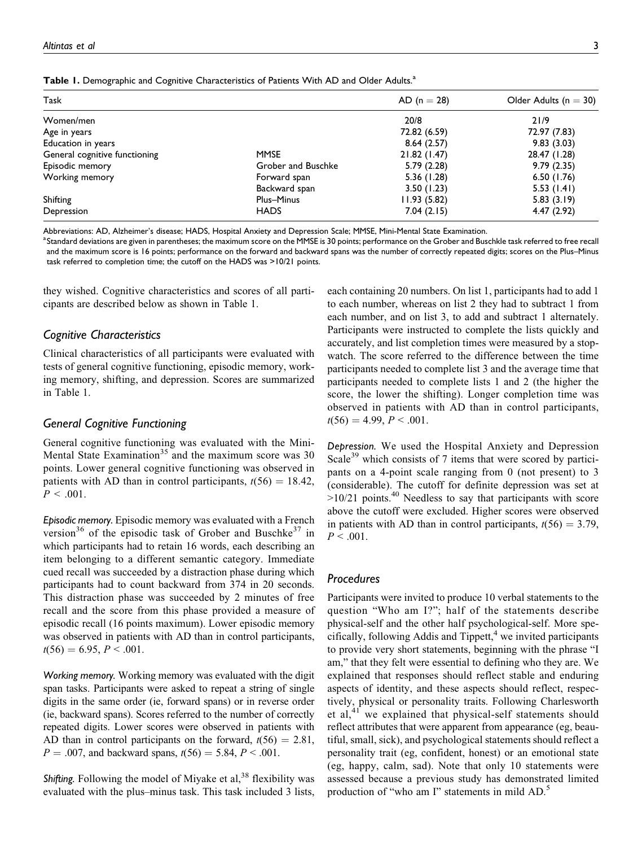| Table 1. Demographic and Cognitive Characteristics of Patients With AD and Older Adults. <sup>a</sup> |  |
|-------------------------------------------------------------------------------------------------------|--|
|-------------------------------------------------------------------------------------------------------|--|

| Task                          |                    | $AD (n = 28)$ | Older Adults ( $n = 30$ ) |
|-------------------------------|--------------------|---------------|---------------------------|
| Women/men                     |                    | 20/8          | 21/9                      |
| Age in years                  |                    | 72.82 (6.59)  | 72.97 (7.83)              |
| Education in years            |                    | 8.64(2.57)    | 9.83(3.03)                |
| General cognitive functioning | <b>MMSE</b>        | 21.82 (1.47)  | 28.47 (1.28)              |
| Episodic memory               | Grober and Buschke | 5.79(2.28)    | 9.79(2.35)                |
| Working memory                | Forward span       | 5.36 (1.28)   | 6.50(1.76)                |
|                               | Backward span      | 3.50(1.23)    | 5.53(1.41)                |
| Shifting                      | Plus-Minus         | 11.93(5.82)   | 5.83(3.19)                |
| Depression                    | <b>HADS</b>        | 7.04(2.15)    | 4.47(2.92)                |

Abbreviations: AD, Alzheimer's disease; HADS, Hospital Anxiety and Depression Scale; MMSE, Mini-Mental State Examination.

a<br>Standard deviations are given in parentheses; the maximum score on the MMSE is 30 points; performance on the Grober and Buschkle task referred to free recall and the maximum score is 16 points; performance on the forward and backward spans was the number of correctly repeated digits; scores on the Plus–Minus task referred to completion time; the cutoff on the HADS was >10/21 points.

they wished. Cognitive characteristics and scores of all participants are described below as shown in Table 1.

#### Cognitive Characteristics

Clinical characteristics of all participants were evaluated with tests of general cognitive functioning, episodic memory, working memory, shifting, and depression. Scores are summarized in Table 1.

#### General Cognitive Functioning

General cognitive functioning was evaluated with the Mini-Mental State Examination<sup>35</sup> and the maximum score was  $30$ points. Lower general cognitive functioning was observed in patients with AD than in control participants,  $t(56) = 18.42$ ,  $P < .001$ .

Episodic memory. Episodic memory was evaluated with a French version<sup>36</sup> of the episodic task of Grober and Buschke<sup>37</sup> in which participants had to retain 16 words, each describing an item belonging to a different semantic category. Immediate cued recall was succeeded by a distraction phase during which participants had to count backward from 374 in 20 seconds. This distraction phase was succeeded by 2 minutes of free recall and the score from this phase provided a measure of episodic recall (16 points maximum). Lower episodic memory was observed in patients with AD than in control participants,  $t(56) = 6.95, P < .001.$ 

Working memory. Working memory was evaluated with the digit span tasks. Participants were asked to repeat a string of single digits in the same order (ie, forward spans) or in reverse order (ie, backward spans). Scores referred to the number of correctly repeated digits. Lower scores were observed in patients with AD than in control participants on the forward,  $t(56) = 2.81$ ,  $P = .007$ , and backward spans,  $t(56) = 5.84$ ,  $P < .001$ .

Shifting. Following the model of Miyake et al,  $38$  flexibility was evaluated with the plus–minus task. This task included 3 lists, each containing 20 numbers. On list 1, participants had to add 1 to each number, whereas on list 2 they had to subtract 1 from each number, and on list 3, to add and subtract 1 alternately. Participants were instructed to complete the lists quickly and accurately, and list completion times were measured by a stopwatch. The score referred to the difference between the time participants needed to complete list 3 and the average time that participants needed to complete lists 1 and 2 (the higher the score, the lower the shifting). Longer completion time was observed in patients with AD than in control participants,  $t(56) = 4.99, P < .001.$ 

Depression. We used the Hospital Anxiety and Depression Scale<sup>39</sup> which consists of 7 items that were scored by participants on a 4-point scale ranging from 0 (not present) to 3 (considerable). The cutoff for definite depression was set at  $>10/21$  points.<sup>40</sup> Needless to say that participants with score above the cutoff were excluded. Higher scores were observed in patients with AD than in control participants,  $t(56) = 3.79$ ,  $P < .001$ .

#### Procedures

Participants were invited to produce 10 verbal statements to the question "Who am I?"; half of the statements describe physical-self and the other half psychological-self. More specifically, following Addis and Tippett, $4$  we invited participants to provide very short statements, beginning with the phrase "I am," that they felt were essential to defining who they are. We explained that responses should reflect stable and enduring aspects of identity, and these aspects should reflect, respectively, physical or personality traits. Following Charlesworth et al, $41$  we explained that physical-self statements should reflect attributes that were apparent from appearance (eg, beautiful, small, sick), and psychological statements should reflect a personality trait (eg, confident, honest) or an emotional state (eg, happy, calm, sad). Note that only 10 statements were assessed because a previous study has demonstrated limited production of "who am I" statements in mild AD.<sup>5</sup>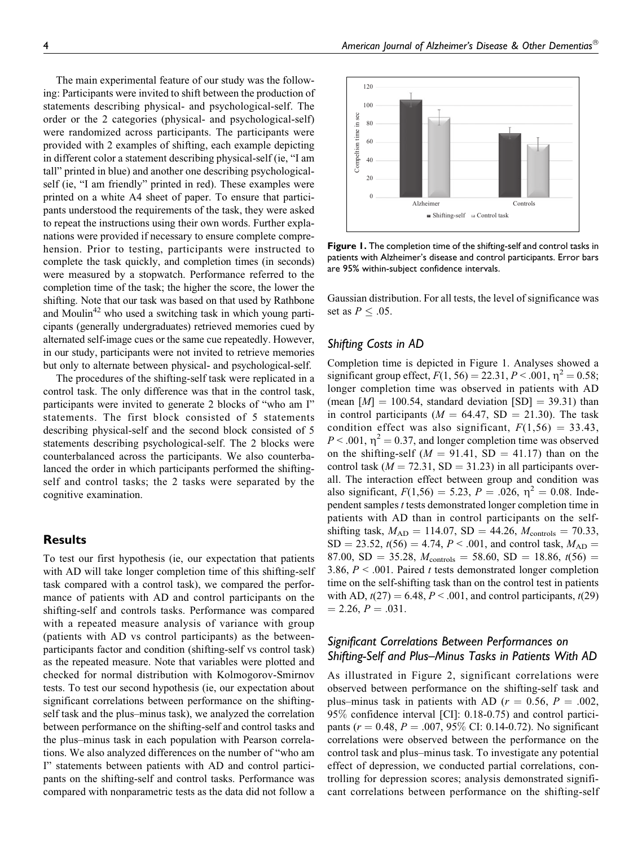The main experimental feature of our study was the following: Participants were invited to shift between the production of statements describing physical- and psychological-self. The order or the 2 categories (physical- and psychological-self) were randomized across participants. The participants were provided with 2 examples of shifting, each example depicting in different color a statement describing physical-self (ie, "I am tall" printed in blue) and another one describing psychologicalself (ie, "I am friendly" printed in red). These examples were printed on a white A4 sheet of paper. To ensure that participants understood the requirements of the task, they were asked to repeat the instructions using their own words. Further explanations were provided if necessary to ensure complete comprehension. Prior to testing, participants were instructed to complete the task quickly, and completion times (in seconds) were measured by a stopwatch. Performance referred to the completion time of the task; the higher the score, the lower the shifting. Note that our task was based on that used by Rathbone and Moulin<sup>42</sup> who used a switching task in which young participants (generally undergraduates) retrieved memories cued by alternated self-image cues or the same cue repeatedly. However, in our study, participants were not invited to retrieve memories but only to alternate between physical- and psychological-self.

The procedures of the shifting-self task were replicated in a control task. The only difference was that in the control task, participants were invited to generate 2 blocks of "who am I" statements. The first block consisted of 5 statements describing physical-self and the second block consisted of 5 statements describing psychological-self. The 2 blocks were counterbalanced across the participants. We also counterbalanced the order in which participants performed the shiftingself and control tasks; the 2 tasks were separated by the cognitive examination.

#### **Results**

To test our first hypothesis (ie, our expectation that patients with AD will take longer completion time of this shifting-self task compared with a control task), we compared the performance of patients with AD and control participants on the shifting-self and controls tasks. Performance was compared with a repeated measure analysis of variance with group (patients with AD vs control participants) as the betweenparticipants factor and condition (shifting-self vs control task) as the repeated measure. Note that variables were plotted and checked for normal distribution with Kolmogorov-Smirnov tests. To test our second hypothesis (ie, our expectation about significant correlations between performance on the shiftingself task and the plus–minus task), we analyzed the correlation between performance on the shifting-self and control tasks and the plus–minus task in each population with Pearson correlations. We also analyzed differences on the number of "who am I" statements between patients with AD and control participants on the shifting-self and control tasks. Performance was compared with nonparametric tests as the data did not follow a



**Figure 1.** The completion time of the shifting-self and control tasks in patients with Alzheimer's disease and control participants. Error bars are 95% within-subject confidence intervals.

Gaussian distribution. For all tests, the level of significance was set as  $P \leq .05$ .

## Shifting Costs in AD

Completion time is depicted in Figure 1. Analyses showed a significant group effect,  $F(1, 56) = 22.31, P < .001, \eta^2 = 0.58;$ longer completion time was observed in patients with AD (mean  $[M] = 100.54$ , standard deviation  $[SD] = 39.31$ ) than in control participants ( $M = 64.47$ , SD = 21.30). The task condition effect was also significant,  $F(1,56) = 33.43$ ,  $P < .001$ ,  $\eta^2 = 0.37$ , and longer completion time was observed on the shifting-self  $(M = 91.41, SD = 41.17)$  than on the control task ( $M = 72.31$ , SD = 31.23) in all participants overall. The interaction effect between group and condition was also significant,  $F(1,56) = 5.23$ ,  $P = .026$ ,  $\eta^2 = 0.08$ . Independent samples t tests demonstrated longer completion time in patients with AD than in control participants on the selfshifting task,  $M_{AD} = 114.07$ , SD = 44.26,  $M_{\text{controls}} = 70.33$ ,  $SD = 23.52$ ,  $t(56) = 4.74$ ,  $P < .001$ , and control task,  $M_{AD} =$ 87.00, SD = 35.28,  $M_{\text{controls}} = 58.60$ , SD = 18.86,  $t(56)$  = 3.86,  $P < .001$ . Paired t tests demonstrated longer completion time on the self-shifting task than on the control test in patients with AD,  $t(27) = 6.48$ ,  $P < .001$ , and control participants,  $t(29)$  $= 2.26, P = .031.$ 

## Significant Correlations Between Performances on Shifting-Self and Plus–Minus Tasks in Patients With AD

As illustrated in Figure 2, significant correlations were observed between performance on the shifting-self task and plus–minus task in patients with AD ( $r = 0.56$ ,  $P = .002$ , 95% confidence interval [CI]: 0.18-0.75) and control participants ( $r = 0.48$ ,  $P = .007$ , 95% CI: 0.14-0.72). No significant correlations were observed between the performance on the control task and plus–minus task. To investigate any potential effect of depression, we conducted partial correlations, controlling for depression scores; analysis demonstrated significant correlations between performance on the shifting-self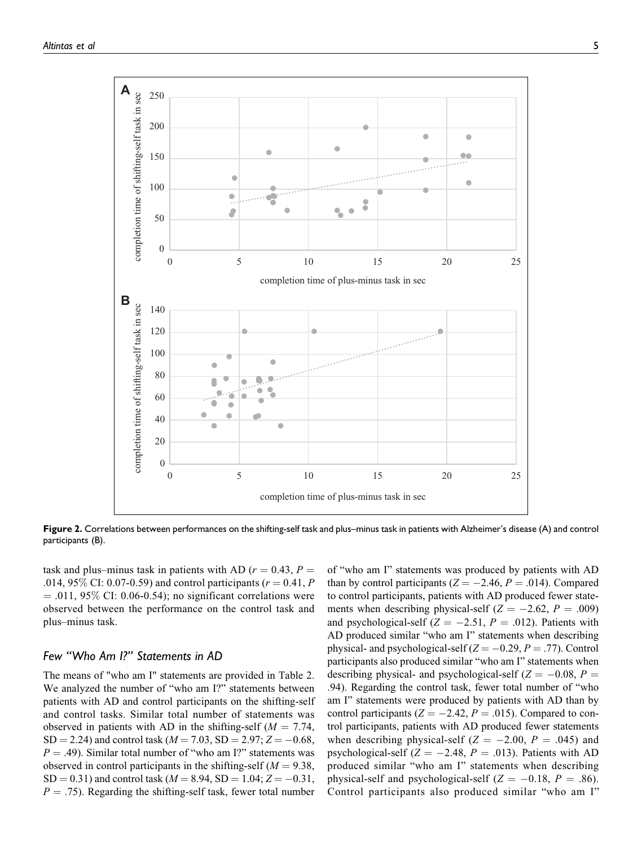

Figure 2. Correlations between performances on the shifting-self task and plus–minus task in patients with Alzheimer's disease (A) and control participants (B).

task and plus–minus task in patients with AD ( $r = 0.43$ ,  $P =$ .014, 95% CI: 0.07-0.59) and control participants ( $r = 0.41, P$  $= .011, 95\%$  CI: 0.06-0.54); no significant correlations were observed between the performance on the control task and plus–minus task.

## Few "Who Am I?" Statements in AD

The means of "who am I" statements are provided in Table 2. We analyzed the number of "who am I?" statements between patients with AD and control participants on the shifting-self and control tasks. Similar total number of statements was observed in patients with AD in the shifting-self ( $M = 7.74$ ,  $SD = 2.24$ ) and control task ( $M = 7.03$ ,  $SD = 2.97$ ;  $Z = -0.68$ ,  $P = .49$ ). Similar total number of "who am I?" statements was observed in control participants in the shifting-self ( $M = 9.38$ ,  $SD = 0.31$ ) and control task ( $M = 8.94$ ,  $SD = 1.04$ ;  $Z = -0.31$ ,  $P = .75$ ). Regarding the shifting-self task, fewer total number

of "who am I" statements was produced by patients with AD than by control participants ( $Z = -2.46$ ,  $P = .014$ ). Compared to control participants, patients with AD produced fewer statements when describing physical-self ( $Z = -2.62$ ,  $P = .009$ ) and psychological-self ( $Z = -2.51$ ,  $P = .012$ ). Patients with AD produced similar "who am I" statements when describing physical- and psychological-self ( $Z = -0.29$ ,  $P = .77$ ). Control participants also produced similar "who am I" statements when describing physical- and psychological-self ( $Z = -0.08$ ,  $P =$ .94). Regarding the control task, fewer total number of "who am I" statements were produced by patients with AD than by control participants ( $Z = -2.42$ ,  $P = .015$ ). Compared to control participants, patients with AD produced fewer statements when describing physical-self  $(Z = -2.00, P = .045)$  and psychological-self ( $Z = -2.48$ ,  $P = .013$ ). Patients with AD produced similar "who am I" statements when describing physical-self and psychological-self ( $Z = -0.18$ ,  $P = .86$ ). Control participants also produced similar "who am I"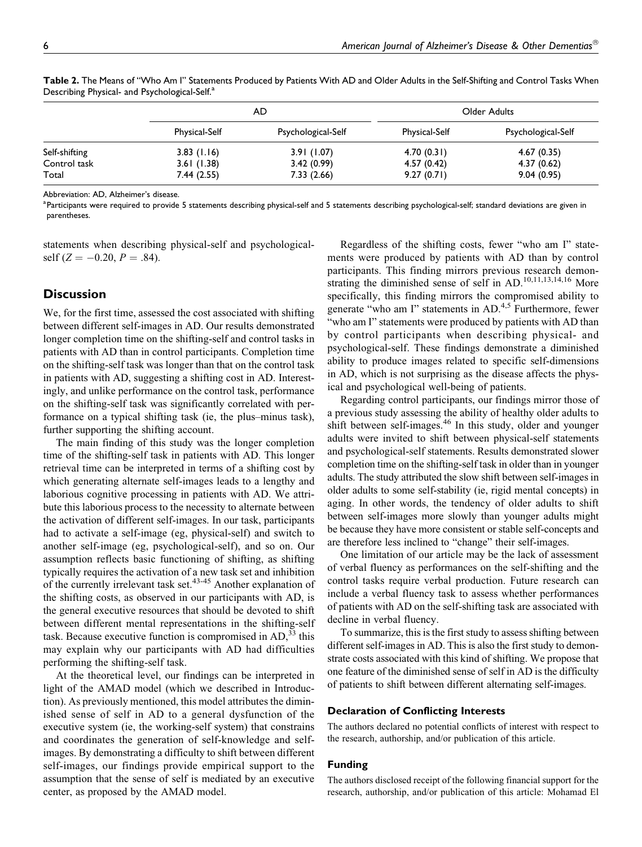|               | AD                   |                    | Older Adults  |                    |
|---------------|----------------------|--------------------|---------------|--------------------|
|               | <b>Physical-Self</b> | Psychological-Self | Physical-Self | Psychological-Self |
| Self-shifting | 3.83(1.16)           | 3.91(1.07)         | 4.70(0.31)    | 4.67(0.35)         |
| Control task  | 3.61(1.38)           | 3.42(0.99)         | 4.57(0.42)    | 4.37(0.62)         |
| Total         | 7.44(2.55)           | 7.33(2.66)         | 9.27(0.71)    | 9.04(0.95)         |

Table 2. The Means of "Who Am I" Statements Produced by Patients With AD and Older Adults in the Self-Shifting and Control Tasks When Describing Physical- and Psychological-Self.<sup>a</sup>

Abbreviation: AD, Alzheimer's disease.

<sup>a</sup> Participants were required to provide 5 statements describing physical-self and 5 statements describing psychological-self; standard deviations are given in parentheses.

statements when describing physical-self and psychologicalself ( $Z = -0.20$ ,  $P = .84$ ).

## **Discussion**

We, for the first time, assessed the cost associated with shifting between different self-images in AD. Our results demonstrated longer completion time on the shifting-self and control tasks in patients with AD than in control participants. Completion time on the shifting-self task was longer than that on the control task in patients with AD, suggesting a shifting cost in AD. Interestingly, and unlike performance on the control task, performance on the shifting-self task was significantly correlated with performance on a typical shifting task (ie, the plus–minus task), further supporting the shifting account.

The main finding of this study was the longer completion time of the shifting-self task in patients with AD. This longer retrieval time can be interpreted in terms of a shifting cost by which generating alternate self-images leads to a lengthy and laborious cognitive processing in patients with AD. We attribute this laborious process to the necessity to alternate between the activation of different self-images. In our task, participants had to activate a self-image (eg, physical-self) and switch to another self-image (eg, psychological-self), and so on. Our assumption reflects basic functioning of shifting, as shifting typically requires the activation of a new task set and inhibition of the currently irrelevant task set.43-45 Another explanation of the shifting costs, as observed in our participants with AD, is the general executive resources that should be devoted to shift between different mental representations in the shifting-self task. Because executive function is compromised in  $AD<sub>1</sub><sup>33</sup>$  this may explain why our participants with AD had difficulties performing the shifting-self task.

At the theoretical level, our findings can be interpreted in light of the AMAD model (which we described in Introduction). As previously mentioned, this model attributes the diminished sense of self in AD to a general dysfunction of the executive system (ie, the working-self system) that constrains and coordinates the generation of self-knowledge and selfimages. By demonstrating a difficulty to shift between different self-images, our findings provide empirical support to the assumption that the sense of self is mediated by an executive center, as proposed by the AMAD model.

Regardless of the shifting costs, fewer "who am I" statements were produced by patients with AD than by control participants. This finding mirrors previous research demonstrating the diminished sense of self in  $AD$ .<sup>10,11,13,14,16</sup> More specifically, this finding mirrors the compromised ability to generate "who am I" statements in  $AD<sup>4,5</sup>$  Furthermore, fewer "who am I" statements were produced by patients with AD than by control participants when describing physical- and psychological-self. These findings demonstrate a diminished ability to produce images related to specific self-dimensions in AD, which is not surprising as the disease affects the physical and psychological well-being of patients.

Regarding control participants, our findings mirror those of a previous study assessing the ability of healthy older adults to shift between self-images.<sup>46</sup> In this study, older and younger adults were invited to shift between physical-self statements and psychological-self statements. Results demonstrated slower completion time on the shifting-self task in older than in younger adults. The study attributed the slow shift between self-images in older adults to some self-stability (ie, rigid mental concepts) in aging. In other words, the tendency of older adults to shift between self-images more slowly than younger adults might be because they have more consistent or stable self-concepts and are therefore less inclined to "change" their self-images.

One limitation of our article may be the lack of assessment of verbal fluency as performances on the self-shifting and the control tasks require verbal production. Future research can include a verbal fluency task to assess whether performances of patients with AD on the self-shifting task are associated with decline in verbal fluency.

To summarize, this is the first study to assess shifting between different self-images in AD. This is also the first study to demonstrate costs associated with this kind of shifting. We propose that one feature of the diminished sense of self in AD is the difficulty of patients to shift between different alternating self-images.

#### Declaration of Conflicting Interests

The authors declared no potential conflicts of interest with respect to the research, authorship, and/or publication of this article.

#### Funding

The authors disclosed receipt of the following financial support for the research, authorship, and/or publication of this article: Mohamad El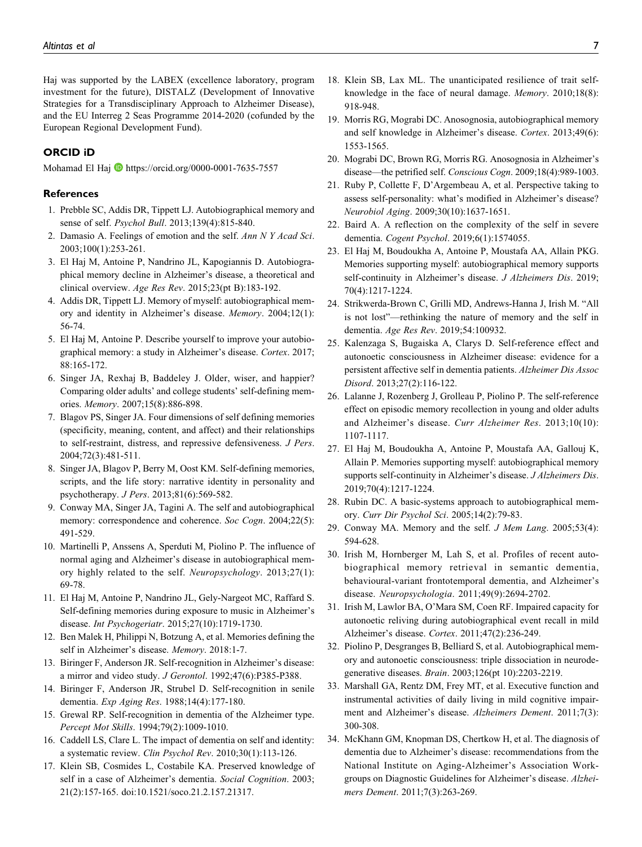Haj was supported by the LABEX (excellence laboratory, program investment for the future), DISTALZ (Development of Innovative Strategies for a Transdisciplinary Approach to Alzheimer Disease), and the EU Interreg 2 Seas Programme 2014-2020 (cofunded by the European Regional Development Fund).

## ORCID iD

Mohamad El Haj **b** <https://orcid.org/0000-0001-7635-7557>

#### References

- 1. Prebble SC, Addis DR, Tippett LJ. Autobiographical memory and sense of self. Psychol Bull. 2013;139(4):815-840.
- 2. Damasio A. Feelings of emotion and the self. Ann N Y Acad Sci. 2003;100(1):253-261.
- 3. El Haj M, Antoine P, Nandrino JL, Kapogiannis D. Autobiographical memory decline in Alzheimer's disease, a theoretical and clinical overview. Age Res Rev. 2015;23(pt B):183-192.
- 4. Addis DR, Tippett LJ. Memory of myself: autobiographical memory and identity in Alzheimer's disease. Memory. 2004;12(1): 56-74.
- 5. El Haj M, Antoine P. Describe yourself to improve your autobiographical memory: a study in Alzheimer's disease. Cortex. 2017; 88:165-172.
- 6. Singer JA, Rexhaj B, Baddeley J. Older, wiser, and happier? Comparing older adults' and college students' self-defining memories. Memory. 2007;15(8):886-898.
- 7. Blagov PS, Singer JA. Four dimensions of self defining memories (specificity, meaning, content, and affect) and their relationships to self-restraint, distress, and repressive defensiveness. J Pers. 2004;72(3):481-511.
- 8. Singer JA, Blagov P, Berry M, Oost KM. Self-defining memories, scripts, and the life story: narrative identity in personality and psychotherapy. J Pers. 2013;81(6):569-582.
- 9. Conway MA, Singer JA, Tagini A. The self and autobiographical memory: correspondence and coherence. Soc Cogn. 2004;22(5): 491-529.
- 10. Martinelli P, Anssens A, Sperduti M, Piolino P. The influence of normal aging and Alzheimer's disease in autobiographical memory highly related to the self. Neuropsychology. 2013;27(1): 69-78.
- 11. El Haj M, Antoine P, Nandrino JL, Gely-Nargeot MC, Raffard S. Self-defining memories during exposure to music in Alzheimer's disease. Int Psychogeriatr. 2015;27(10):1719-1730.
- 12. Ben Malek H, Philippi N, Botzung A, et al. Memories defining the self in Alzheimer's disease. Memory. 2018:1-7.
- 13. Biringer F, Anderson JR. Self-recognition in Alzheimer's disease: a mirror and video study. J Gerontol. 1992;47(6):P385-P388.
- 14. Biringer F, Anderson JR, Strubel D. Self-recognition in senile dementia. Exp Aging Res. 1988;14(4):177-180.
- 15. Grewal RP. Self-recognition in dementia of the Alzheimer type. Percept Mot Skills. 1994;79(2):1009-1010.
- 16. Caddell LS, Clare L. The impact of dementia on self and identity: a systematic review. Clin Psychol Rev. 2010;30(1):113-126.
- 17. Klein SB, Cosmides L, Costabile KA. Preserved knowledge of self in a case of Alzheimer's dementia. Social Cognition. 2003; 21(2):157-165. doi:10.1521/soco.21.2.157.21317.
- 18. Klein SB, Lax ML. The unanticipated resilience of trait selfknowledge in the face of neural damage. Memory. 2010;18(8): 918-948.
- 19. Morris RG, Mograbi DC. Anosognosia, autobiographical memory and self knowledge in Alzheimer's disease. Cortex. 2013;49(6): 1553-1565.
- 20. Mograbi DC, Brown RG, Morris RG. Anosognosia in Alzheimer's disease—the petrified self. Conscious Cogn. 2009;18(4):989-1003.
- 21. Ruby P, Collette F, D'Argembeau A, et al. Perspective taking to assess self-personality: what's modified in Alzheimer's disease? Neurobiol Aging. 2009;30(10):1637-1651.
- 22. Baird A. A reflection on the complexity of the self in severe dementia. Cogent Psychol. 2019;6(1):1574055.
- 23. El Haj M, Boudoukha A, Antoine P, Moustafa AA, Allain PKG. Memories supporting myself: autobiographical memory supports self-continuity in Alzheimer's disease. J Alzheimers Dis. 2019; 70(4):1217-1224.
- 24. Strikwerda-Brown C, Grilli MD, Andrews-Hanna J, Irish M. "All is not lost"—rethinking the nature of memory and the self in dementia. Age Res Rev. 2019;54:100932.
- 25. Kalenzaga S, Bugaiska A, Clarys D. Self-reference effect and autonoetic consciousness in Alzheimer disease: evidence for a persistent affective self in dementia patients. Alzheimer Dis Assoc Disord. 2013;27(2):116-122.
- 26. Lalanne J, Rozenberg J, Grolleau P, Piolino P. The self-reference effect on episodic memory recollection in young and older adults and Alzheimer's disease. Curr Alzheimer Res. 2013;10(10): 1107-1117.
- 27. El Haj M, Boudoukha A, Antoine P, Moustafa AA, Gallouj K, Allain P. Memories supporting myself: autobiographical memory supports self-continuity in Alzheimer's disease. J Alzheimers Dis. 2019;70(4):1217-1224.
- 28. Rubin DC. A basic-systems approach to autobiographical memory. Curr Dir Psychol Sci. 2005;14(2):79-83.
- 29. Conway MA. Memory and the self. J Mem Lang. 2005;53(4): 594-628.
- 30. Irish M, Hornberger M, Lah S, et al. Profiles of recent autobiographical memory retrieval in semantic dementia, behavioural-variant frontotemporal dementia, and Alzheimer's disease. Neuropsychologia. 2011;49(9):2694-2702.
- 31. Irish M, Lawlor BA, O'Mara SM, Coen RF. Impaired capacity for autonoetic reliving during autobiographical event recall in mild Alzheimer's disease. Cortex. 2011;47(2):236-249.
- 32. Piolino P, Desgranges B, Belliard S, et al. Autobiographical memory and autonoetic consciousness: triple dissociation in neurodegenerative diseases. Brain. 2003;126(pt 10):2203-2219.
- 33. Marshall GA, Rentz DM, Frey MT, et al. Executive function and instrumental activities of daily living in mild cognitive impairment and Alzheimer's disease. Alzheimers Dement. 2011;7(3): 300-308.
- 34. McKhann GM, Knopman DS, Chertkow H, et al. The diagnosis of dementia due to Alzheimer's disease: recommendations from the National Institute on Aging-Alzheimer's Association Workgroups on Diagnostic Guidelines for Alzheimer's disease. Alzheimers Dement. 2011;7(3):263-269.